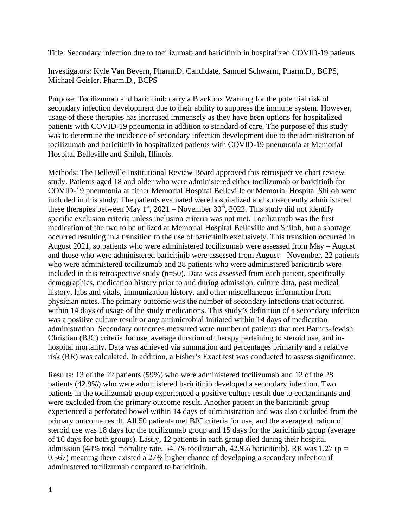Title: Secondary infection due to tocilizumab and baricitinib in hospitalized COVID-19 patients

Investigators: Kyle Van Bevern, Pharm.D. Candidate, Samuel Schwarm, Pharm.D., BCPS, Michael Geisler, Pharm.D., BCPS

Purpose: Tocilizumab and baricitinib carry a Blackbox Warning for the potential risk of secondary infection development due to their ability to suppress the immune system. However, usage of these therapies has increased immensely as they have been options for hospitalized patients with COVID-19 pneumonia in addition to standard of care. The purpose of this study was to determine the incidence of secondary infection development due to the administration of tocilizumab and baricitinib in hospitalized patients with COVID-19 pneumonia at Memorial Hospital Belleville and Shiloh, Illinois.

Methods: The Belleville Institutional Review Board approved this retrospective chart review study. Patients aged 18 and older who were administered either tocilizumab or baricitinib for COVID-19 pneumonia at either Memorial Hospital Belleville or Memorial Hospital Shiloh were included in this study. The patients evaluated were hospitalized and subsequently administered these therapies between May 1<sup>st</sup>, 2021 – November 30<sup>th</sup>, 2022. This study did not identify specific exclusion criteria unless inclusion criteria was not met. Tocilizumab was the first medication of the two to be utilized at Memorial Hospital Belleville and Shiloh, but a shortage occurred resulting in a transition to the use of baricitinib exclusively. This transition occurred in August 2021, so patients who were administered tocilizumab were assessed from May – August and those who were administered baricitinib were assessed from August – November. 22 patients who were administered tocilizumab and 28 patients who were administered baricitinib were included in this retrospective study (n=50). Data was assessed from each patient, specifically demographics, medication history prior to and during admission, culture data, past medical history, labs and vitals, immunization history, and other miscellaneous information from physician notes. The primary outcome was the number of secondary infections that occurred within 14 days of usage of the study medications. This study's definition of a secondary infection was a positive culture result or any antimicrobial initiated within 14 days of medication administration. Secondary outcomes measured were number of patients that met Barnes-Jewish Christian (BJC) criteria for use, average duration of therapy pertaining to steroid use, and inhospital mortality. Data was achieved via summation and percentages primarily and a relative risk (RR) was calculated. In addition, a Fisher's Exact test was conducted to assess significance.

Results: 13 of the 22 patients (59%) who were administered tocilizumab and 12 of the 28 patients (42.9%) who were administered baricitinib developed a secondary infection. Two patients in the tocilizumab group experienced a positive culture result due to contaminants and were excluded from the primary outcome result. Another patient in the baricitinib group experienced a perforated bowel within 14 days of administration and was also excluded from the primary outcome result. All 50 patients met BJC criteria for use, and the average duration of steroid use was 18 days for the tocilizumab group and 15 days for the baricitinib group (average of 16 days for both groups). Lastly, 12 patients in each group died during their hospital admission (48% total mortality rate, 54.5% tocilizumab, 42.9% baricitinib). RR was 1.27 ( $p =$ 0.567) meaning there existed a 27% higher chance of developing a secondary infection if administered tocilizumab compared to baricitinib.